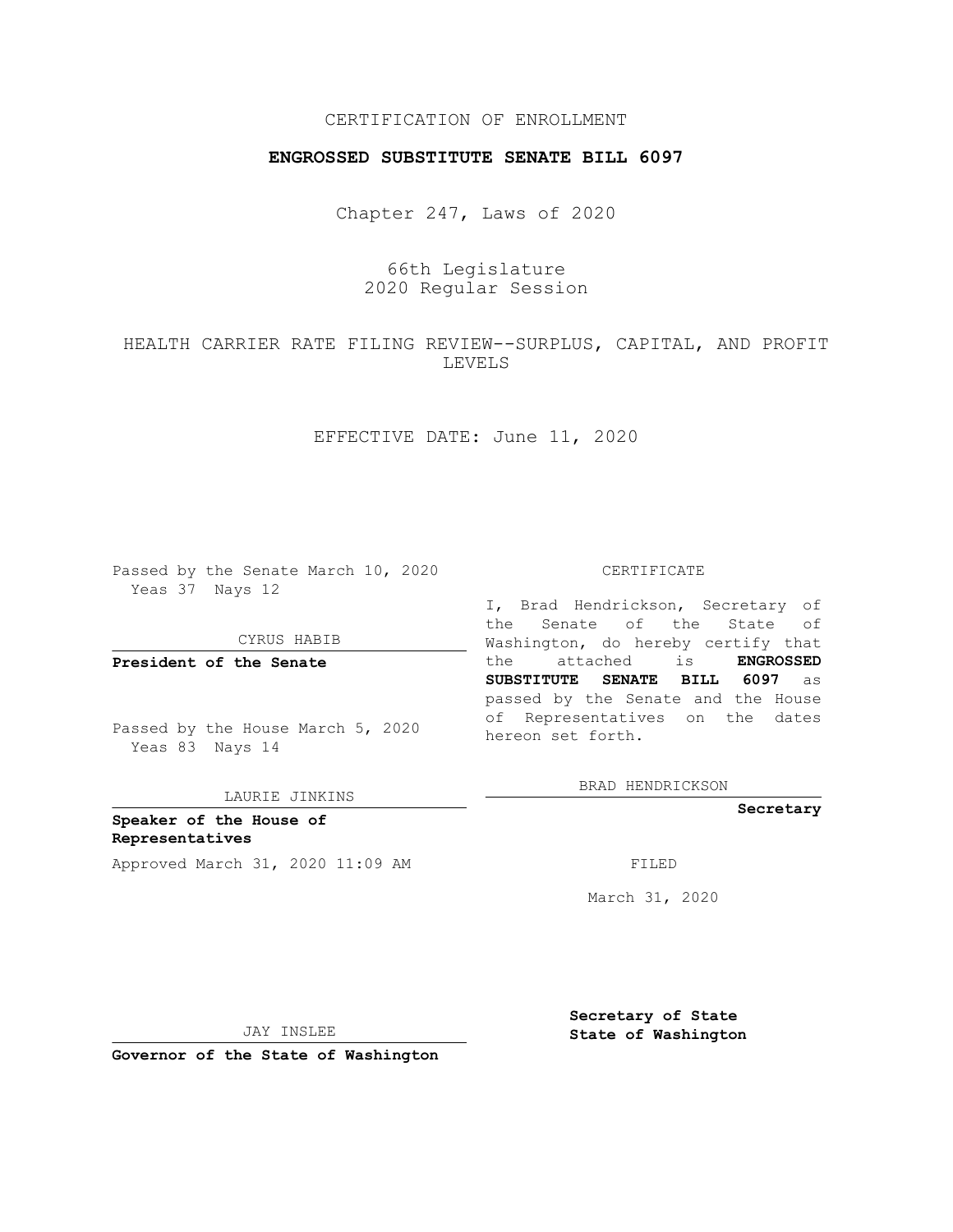## CERTIFICATION OF ENROLLMENT

## **ENGROSSED SUBSTITUTE SENATE BILL 6097**

Chapter 247, Laws of 2020

# 66th Legislature 2020 Regular Session

HEALTH CARRIER RATE FILING REVIEW--SURPLUS, CAPITAL, AND PROFIT LEVELS

EFFECTIVE DATE: June 11, 2020

Passed by the Senate March 10, 2020 Yeas 37 Nays 12

CYRUS HABIB

**President of the Senate**

Passed by the House March 5, 2020 Yeas 83 Nays 14

LAURIE JINKINS

**Speaker of the House of Representatives** Approved March 31, 2020 11:09 AM FILED

#### CERTIFICATE

I, Brad Hendrickson, Secretary of the Senate of the State of Washington, do hereby certify that the attached is **ENGROSSED SUBSTITUTE SENATE BILL 6097** as passed by the Senate and the House of Representatives on the dates hereon set forth.

BRAD HENDRICKSON

**Secretary**

March 31, 2020

JAY INSLEE

**Secretary of State State of Washington**

**Governor of the State of Washington**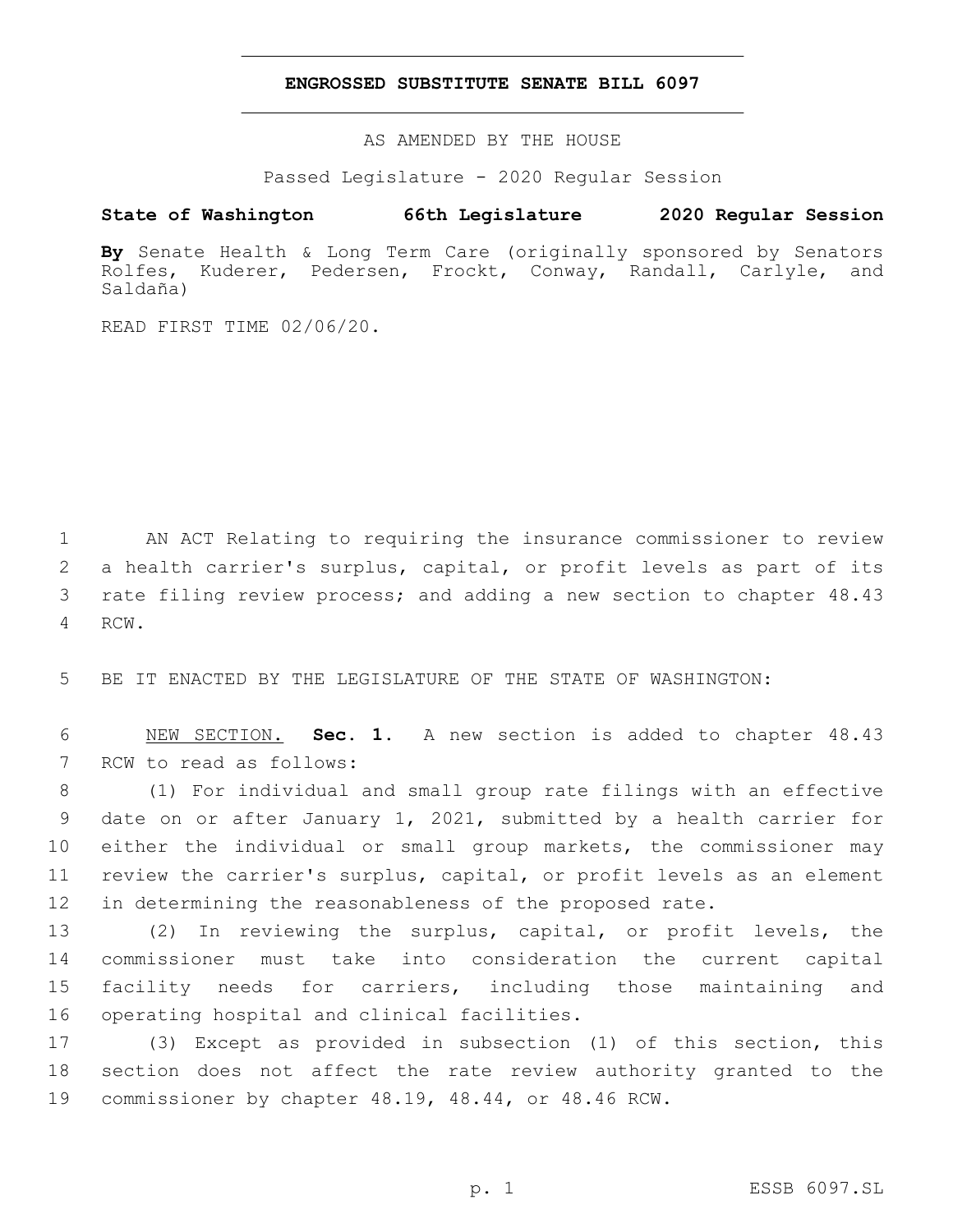### **ENGROSSED SUBSTITUTE SENATE BILL 6097**

AS AMENDED BY THE HOUSE

Passed Legislature - 2020 Regular Session

# **State of Washington 66th Legislature 2020 Regular Session**

**By** Senate Health & Long Term Care (originally sponsored by Senators Rolfes, Kuderer, Pedersen, Frockt, Conway, Randall, Carlyle, and Saldaña)

READ FIRST TIME 02/06/20.

 AN ACT Relating to requiring the insurance commissioner to review a health carrier's surplus, capital, or profit levels as part of its rate filing review process; and adding a new section to chapter 48.43 4 RCW.

5 BE IT ENACTED BY THE LEGISLATURE OF THE STATE OF WASHINGTON:

6 NEW SECTION. **Sec. 1.** A new section is added to chapter 48.43 7 RCW to read as follows:

 (1) For individual and small group rate filings with an effective date on or after January 1, 2021, submitted by a health carrier for 10 either the individual or small group markets, the commissioner may review the carrier's surplus, capital, or profit levels as an element in determining the reasonableness of the proposed rate.

 (2) In reviewing the surplus, capital, or profit levels, the commissioner must take into consideration the current capital facility needs for carriers, including those maintaining and 16 operating hospital and clinical facilities.

17 (3) Except as provided in subsection (1) of this section, this 18 section does not affect the rate review authority granted to the 19 commissioner by chapter 48.19, 48.44, or 48.46 RCW.